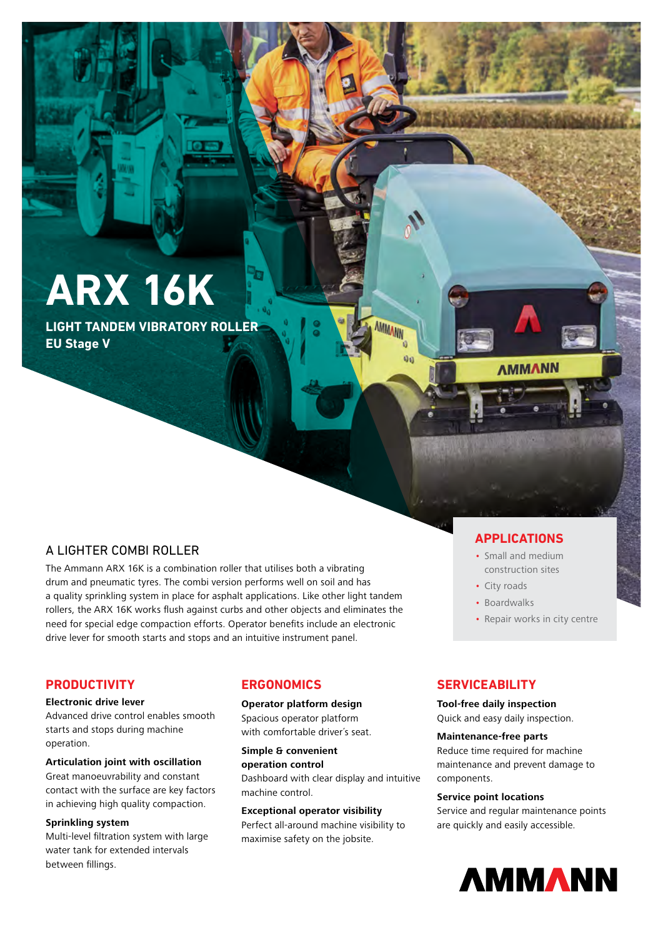# **ARX 16K**

**LIGHT TANDEM VIBRATORY ROLLER EU Stage V**

# A LIGHTER COMBI ROLLER

The Ammann ARX 16K is a combination roller that utilises both a vibrating drum and pneumatic tyres. The combi version performs well on soil and has a quality sprinkling system in place for asphalt applications. Like other light tandem rollers, the ARX 16K works flush against curbs and other objects and eliminates the need for special edge compaction efforts. Operator benefits include an electronic drive lever for smooth starts and stops and an intuitive instrument panel.

# **APPLICATIONS**

**AMMANN** 

- Small and medium construction sites
- City roads
- Boardwalks
- Repair works in city centre

# **PRODUCTIVITY**

## **Electronic drive lever**

Advanced drive control enables smooth starts and stops during machine operation.

## **Articulation joint with oscillation**

Great manoeuvrability and constant contact with the surface are key factors in achieving high quality compaction.

#### **Sprinkling system**

Multi-level filtration system with large water tank for extended intervals between fillings.

# **ERGONOMICS**

### **Operator platform design**

Spacious operator platform with comfortable driver´s seat.

**Simple & convenient operation control**  Dashboard with clear display and intuitive machine control.

MMANN

Q0

#### **Exceptional operator visibility**

Perfect all-around machine visibility to maximise safety on the jobsite.

# **SERVICEABILITY**

**Tool-free daily inspection** Quick and easy daily inspection.

#### **Maintenance-free parts**

Reduce time required for machine maintenance and prevent damage to components.

## **Service point locations**

Service and regular maintenance points are quickly and easily accessible.